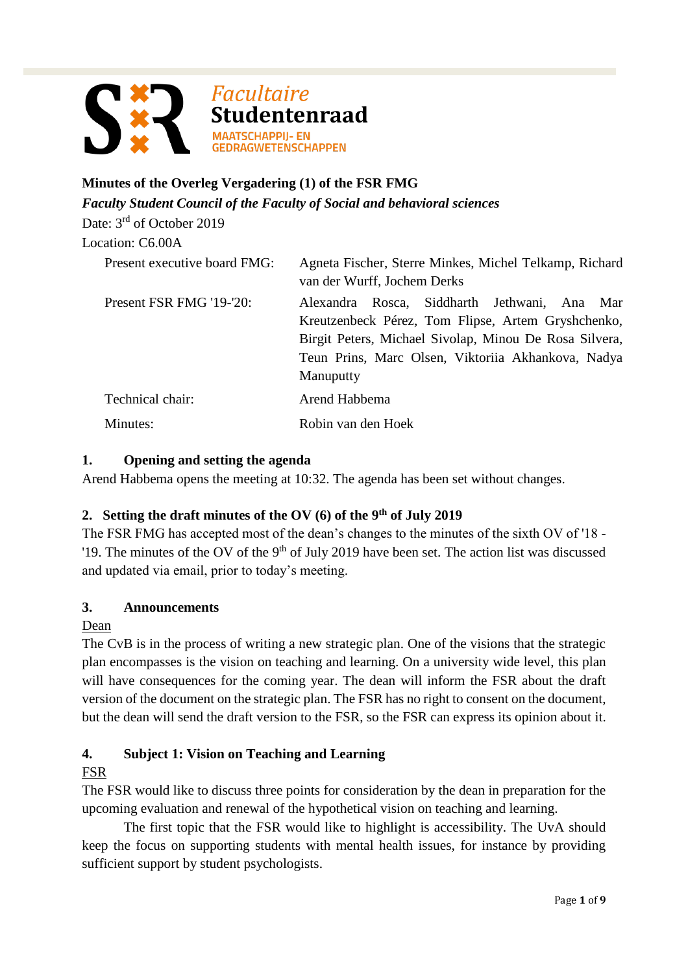

# **Minutes of the Overleg Vergadering (1) of the FSR FMG**

*Faculty Student Council of the Faculty of Social and behavioral sciences*

Date: 3<sup>rd</sup> of October 2019

## Location: C6.00A

| Present executive board FMG: | Agneta Fischer, Sterre Minkes, Michel Telkamp, Richard<br>van der Wurff, Jochem Derks |
|------------------------------|---------------------------------------------------------------------------------------|
| Present FSR FMG '19-'20:     | Rosca, Siddharth Jethwani, Ana<br>Alexandra<br>Mar                                    |
|                              | Kreutzenbeck Pérez, Tom Flipse, Artem Gryshchenko,                                    |
|                              | Birgit Peters, Michael Sivolap, Minou De Rosa Silvera,                                |
|                              | Teun Prins, Marc Olsen, Viktoriia Akhankova, Nadya                                    |
|                              | Manuputty                                                                             |
| Technical chair:             | Arend Habbema                                                                         |
| Minutes:                     | Robin van den Hoek                                                                    |

## **1. Opening and setting the agenda**

Arend Habbema opens the meeting at 10:32. The agenda has been set without changes.

## **2. Setting the draft minutes of the OV (6) of the 9th of July 2019**

The FSR FMG has accepted most of the dean's changes to the minutes of the sixth OV of '18 - '19. The minutes of the OV of the 9<sup>th</sup> of July 2019 have been set. The action list was discussed and updated via email, prior to today's meeting.

## **3. Announcements**

## Dean

The CvB is in the process of writing a new strategic plan. One of the visions that the strategic plan encompasses is the vision on teaching and learning. On a university wide level, this plan will have consequences for the coming year. The dean will inform the FSR about the draft version of the document on the strategic plan. The FSR has no right to consent on the document, but the dean will send the draft version to the FSR, so the FSR can express its opinion about it.

## **4. Subject 1: Vision on Teaching and Learning**

## FSR

The FSR would like to discuss three points for consideration by the dean in preparation for the upcoming evaluation and renewal of the hypothetical vision on teaching and learning.

The first topic that the FSR would like to highlight is accessibility. The UvA should keep the focus on supporting students with mental health issues, for instance by providing sufficient support by student psychologists.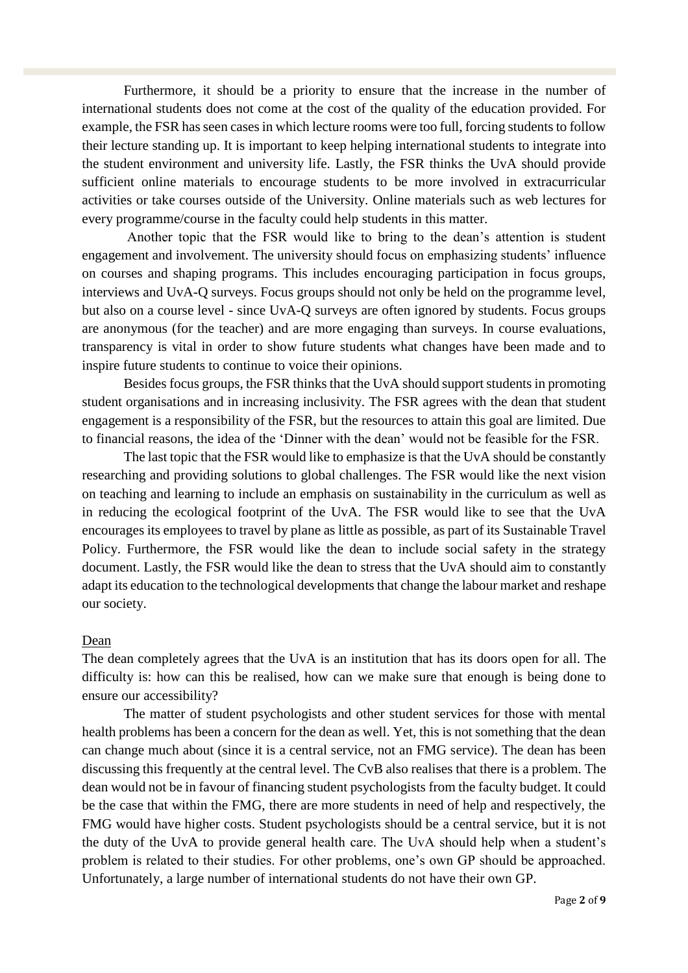Furthermore, it should be a priority to ensure that the increase in the number of international students does not come at the cost of the quality of the education provided. For example, the FSR has seen cases in which lecture rooms were too full, forcing students to follow their lecture standing up. It is important to keep helping international students to integrate into the student environment and university life. Lastly, the FSR thinks the UvA should provide sufficient online materials to encourage students to be more involved in extracurricular activities or take courses outside of the University. Online materials such as web lectures for every programme/course in the faculty could help students in this matter.

Another topic that the FSR would like to bring to the dean's attention is student engagement and involvement. The university should focus on emphasizing students' influence on courses and shaping programs. This includes encouraging participation in focus groups, interviews and UvA-Q surveys. Focus groups should not only be held on the programme level, but also on a course level - since UvA-Q surveys are often ignored by students. Focus groups are anonymous (for the teacher) and are more engaging than surveys. In course evaluations, transparency is vital in order to show future students what changes have been made and to inspire future students to continue to voice their opinions.

Besides focus groups, the FSR thinks that the UvA should support students in promoting student organisations and in increasing inclusivity. The FSR agrees with the dean that student engagement is a responsibility of the FSR, but the resources to attain this goal are limited. Due to financial reasons, the idea of the 'Dinner with the dean' would not be feasible for the FSR.

The last topic that the FSR would like to emphasize is that the UvA should be constantly researching and providing solutions to global challenges. The FSR would like the next vision on teaching and learning to include an emphasis on sustainability in the curriculum as well as in reducing the ecological footprint of the UvA. The FSR would like to see that the UvA encourages its employees to travel by plane as little as possible, as part of its Sustainable Travel Policy. Furthermore, the FSR would like the dean to include social safety in the strategy document. Lastly, the FSR would like the dean to stress that the UvA should aim to constantly adapt its education to the technological developments that change the labour market and reshape our society.

#### Dean

The dean completely agrees that the UvA is an institution that has its doors open for all. The difficulty is: how can this be realised, how can we make sure that enough is being done to ensure our accessibility?

The matter of student psychologists and other student services for those with mental health problems has been a concern for the dean as well. Yet, this is not something that the dean can change much about (since it is a central service, not an FMG service). The dean has been discussing this frequently at the central level. The CvB also realises that there is a problem. The dean would not be in favour of financing student psychologists from the faculty budget. It could be the case that within the FMG, there are more students in need of help and respectively, the FMG would have higher costs. Student psychologists should be a central service, but it is not the duty of the UvA to provide general health care. The UvA should help when a student's problem is related to their studies. For other problems, one's own GP should be approached. Unfortunately, a large number of international students do not have their own GP.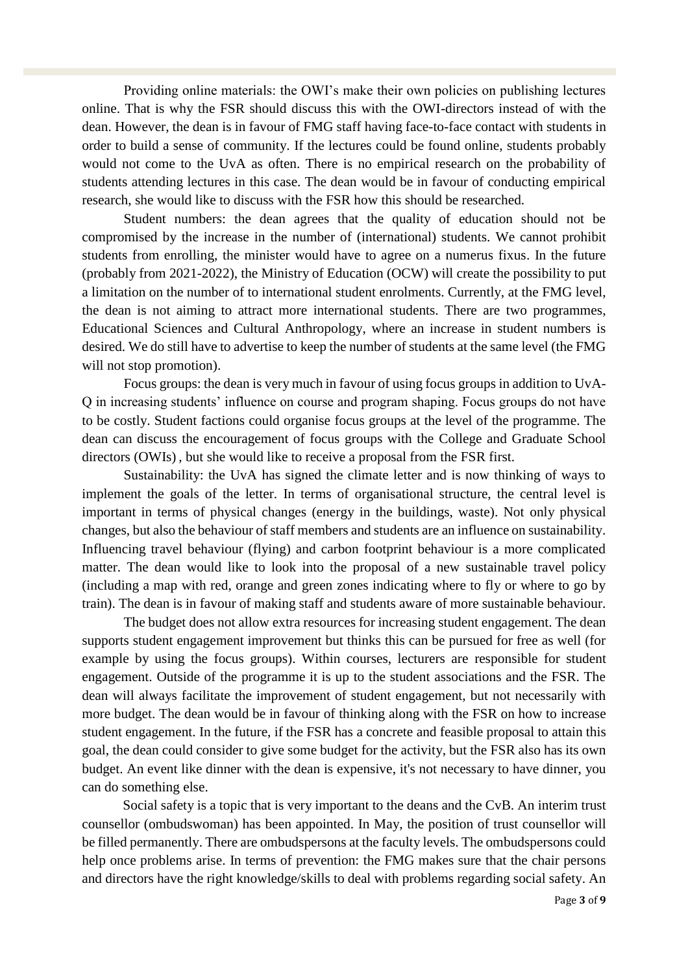Providing online materials: the OWI's make their own policies on publishing lectures online. That is why the FSR should discuss this with the OWI-directors instead of with the dean. However, the dean is in favour of FMG staff having face-to-face contact with students in order to build a sense of community. If the lectures could be found online, students probably would not come to the UvA as often. There is no empirical research on the probability of students attending lectures in this case. The dean would be in favour of conducting empirical research, she would like to discuss with the FSR how this should be researched.

Student numbers: the dean agrees that the quality of education should not be compromised by the increase in the number of (international) students. We cannot prohibit students from enrolling, the minister would have to agree on a numerus fixus. In the future (probably from 2021-2022), the Ministry of Education (OCW) will create the possibility to put a limitation on the number of to international student enrolments. Currently, at the FMG level, the dean is not aiming to attract more international students. There are two programmes, Educational Sciences and Cultural Anthropology, where an increase in student numbers is desired. We do still have to advertise to keep the number of students at the same level (the FMG will not stop promotion).

Focus groups: the dean is very much in favour of using focus groups in addition to UvA-Q in increasing students' influence on course and program shaping. Focus groups do not have to be costly. Student factions could organise focus groups at the level of the programme. The dean can discuss the encouragement of focus groups with the College and Graduate School directors (OWIs) , but she would like to receive a proposal from the FSR first.

Sustainability: the UvA has signed the climate letter and is now thinking of ways to implement the goals of the letter. In terms of organisational structure, the central level is important in terms of physical changes (energy in the buildings, waste). Not only physical changes, but also the behaviour of staff members and students are an influence on sustainability. Influencing travel behaviour (flying) and carbon footprint behaviour is a more complicated matter. The dean would like to look into the proposal of a new sustainable travel policy (including a map with red, orange and green zones indicating where to fly or where to go by train). The dean is in favour of making staff and students aware of more sustainable behaviour.

The budget does not allow extra resources for increasing student engagement. The dean supports student engagement improvement but thinks this can be pursued for free as well (for example by using the focus groups). Within courses, lecturers are responsible for student engagement. Outside of the programme it is up to the student associations and the FSR. The dean will always facilitate the improvement of student engagement, but not necessarily with more budget. The dean would be in favour of thinking along with the FSR on how to increase student engagement. In the future, if the FSR has a concrete and feasible proposal to attain this goal, the dean could consider to give some budget for the activity, but the FSR also has its own budget. An event like dinner with the dean is expensive, it's not necessary to have dinner, you can do something else.

Social safety is a topic that is very important to the deans and the CvB. An interim trust counsellor (ombudswoman) has been appointed. In May, the position of trust counsellor will be filled permanently. There are ombudspersons at the faculty levels. The ombudspersons could help once problems arise. In terms of prevention: the FMG makes sure that the chair persons and directors have the right knowledge/skills to deal with problems regarding social safety. An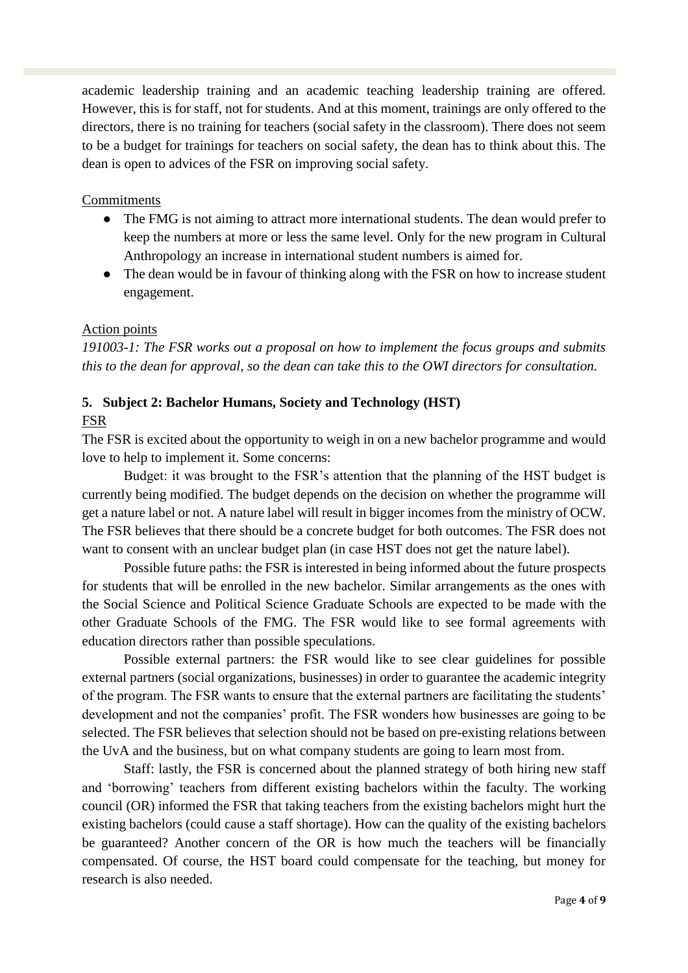academic leadership training and an academic teaching leadership training are offered. However, this is for staff, not for students. And at this moment, trainings are only offered to the directors, there is no training for teachers (social safety in the classroom). There does not seem to be a budget for trainings for teachers on social safety, the dean has to think about this. The dean is open to advices of the FSR on improving social safety.

#### Commitments

- The FMG is not aiming to attract more international students. The dean would prefer to keep the numbers at more or less the same level. Only for the new program in Cultural Anthropology an increase in international student numbers is aimed for.
- The dean would be in favour of thinking along with the FSR on how to increase student engagement.

#### Action points

*191003-1: The FSR works out a proposal on how to implement the focus groups and submits this to the dean for approval, so the dean can take this to the OWI directors for consultation.* 

## **5. Subject 2: Bachelor Humans, Society and Technology (HST)**

#### FSR

The FSR is excited about the opportunity to weigh in on a new bachelor programme and would love to help to implement it. Some concerns:

Budget: it was brought to the FSR's attention that the planning of the HST budget is currently being modified. The budget depends on the decision on whether the programme will get a nature label or not. A nature label will result in bigger incomes from the ministry of OCW. The FSR believes that there should be a concrete budget for both outcomes. The FSR does not want to consent with an unclear budget plan (in case HST does not get the nature label).

Possible future paths: the FSR is interested in being informed about the future prospects for students that will be enrolled in the new bachelor. Similar arrangements as the ones with the Social Science and Political Science Graduate Schools are expected to be made with the other Graduate Schools of the FMG. The FSR would like to see formal agreements with education directors rather than possible speculations.

Possible external partners: the FSR would like to see clear guidelines for possible external partners (social organizations, businesses) in order to guarantee the academic integrity of the program. The FSR wants to ensure that the external partners are facilitating the students' development and not the companies' profit. The FSR wonders how businesses are going to be selected. The FSR believes that selection should not be based on pre-existing relations between the UvA and the business, but on what company students are going to learn most from.

Staff: lastly, the FSR is concerned about the planned strategy of both hiring new staff and 'borrowing' teachers from different existing bachelors within the faculty. The working council (OR) informed the FSR that taking teachers from the existing bachelors might hurt the existing bachelors (could cause a staff shortage). How can the quality of the existing bachelors be guaranteed? Another concern of the OR is how much the teachers will be financially compensated. Of course, the HST board could compensate for the teaching, but money for research is also needed.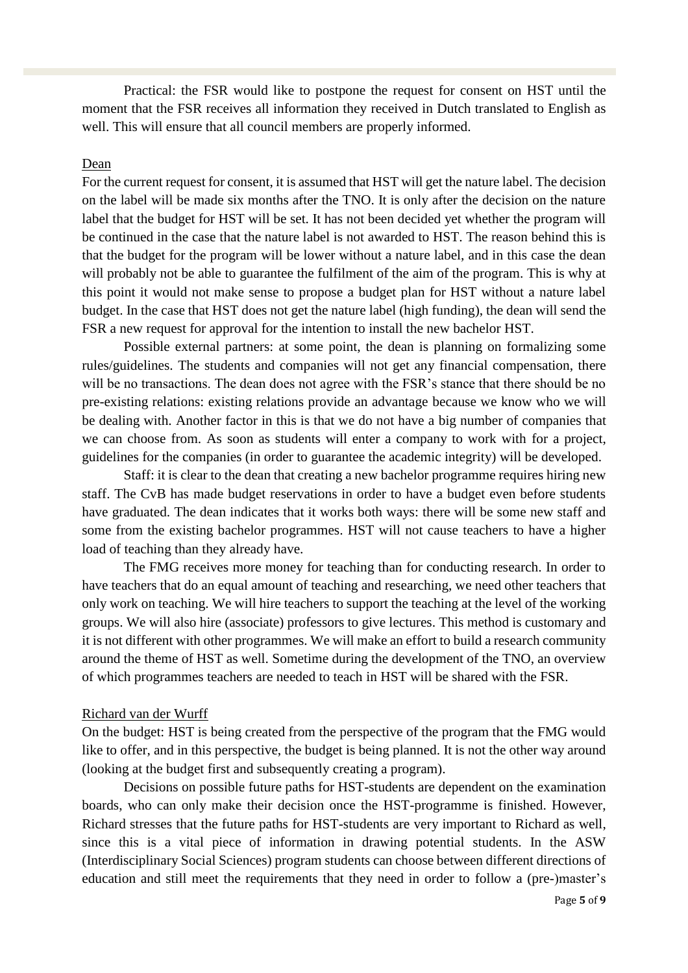Practical: the FSR would like to postpone the request for consent on HST until the moment that the FSR receives all information they received in Dutch translated to English as well. This will ensure that all council members are properly informed.

#### Dean

For the current request for consent, it is assumed that HST will get the nature label. The decision on the label will be made six months after the TNO. It is only after the decision on the nature label that the budget for HST will be set. It has not been decided yet whether the program will be continued in the case that the nature label is not awarded to HST. The reason behind this is that the budget for the program will be lower without a nature label, and in this case the dean will probably not be able to guarantee the fulfilment of the aim of the program. This is why at this point it would not make sense to propose a budget plan for HST without a nature label budget. In the case that HST does not get the nature label (high funding), the dean will send the FSR a new request for approval for the intention to install the new bachelor HST.

Possible external partners: at some point, the dean is planning on formalizing some rules/guidelines. The students and companies will not get any financial compensation, there will be no transactions. The dean does not agree with the FSR's stance that there should be no pre-existing relations: existing relations provide an advantage because we know who we will be dealing with. Another factor in this is that we do not have a big number of companies that we can choose from. As soon as students will enter a company to work with for a project, guidelines for the companies (in order to guarantee the academic integrity) will be developed.

Staff: it is clear to the dean that creating a new bachelor programme requires hiring new staff. The CvB has made budget reservations in order to have a budget even before students have graduated. The dean indicates that it works both ways: there will be some new staff and some from the existing bachelor programmes. HST will not cause teachers to have a higher load of teaching than they already have.

The FMG receives more money for teaching than for conducting research. In order to have teachers that do an equal amount of teaching and researching, we need other teachers that only work on teaching. We will hire teachers to support the teaching at the level of the working groups. We will also hire (associate) professors to give lectures. This method is customary and it is not different with other programmes. We will make an effort to build a research community around the theme of HST as well. Sometime during the development of the TNO, an overview of which programmes teachers are needed to teach in HST will be shared with the FSR.

#### Richard van der Wurff

On the budget: HST is being created from the perspective of the program that the FMG would like to offer, and in this perspective, the budget is being planned. It is not the other way around (looking at the budget first and subsequently creating a program).

Decisions on possible future paths for HST-students are dependent on the examination boards, who can only make their decision once the HST-programme is finished. However, Richard stresses that the future paths for HST-students are very important to Richard as well, since this is a vital piece of information in drawing potential students. In the ASW (Interdisciplinary Social Sciences) program students can choose between different directions of education and still meet the requirements that they need in order to follow a (pre-)master's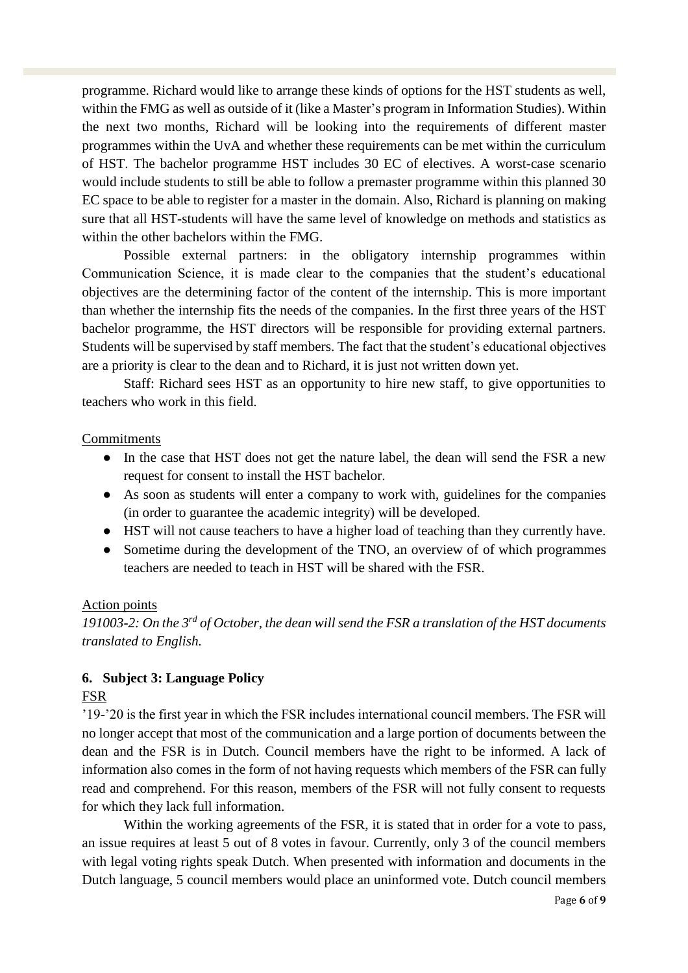programme. Richard would like to arrange these kinds of options for the HST students as well, within the FMG as well as outside of it (like a Master's program in Information Studies). Within the next two months, Richard will be looking into the requirements of different master programmes within the UvA and whether these requirements can be met within the curriculum of HST. The bachelor programme HST includes 30 EC of electives. A worst-case scenario would include students to still be able to follow a premaster programme within this planned 30 EC space to be able to register for a master in the domain. Also, Richard is planning on making sure that all HST-students will have the same level of knowledge on methods and statistics as within the other bachelors within the FMG.

Possible external partners: in the obligatory internship programmes within Communication Science, it is made clear to the companies that the student's educational objectives are the determining factor of the content of the internship. This is more important than whether the internship fits the needs of the companies. In the first three years of the HST bachelor programme, the HST directors will be responsible for providing external partners. Students will be supervised by staff members. The fact that the student's educational objectives are a priority is clear to the dean and to Richard, it is just not written down yet.

Staff: Richard sees HST as an opportunity to hire new staff, to give opportunities to teachers who work in this field.

#### **Commitments**

- In the case that HST does not get the nature label, the dean will send the FSR a new request for consent to install the HST bachelor.
- As soon as students will enter a company to work with, guidelines for the companies (in order to guarantee the academic integrity) will be developed.
- HST will not cause teachers to have a higher load of teaching than they currently have.
- Sometime during the development of the TNO, an overview of of which programmes teachers are needed to teach in HST will be shared with the FSR.

#### Action points

*191003-2: On the 3rd of October, the dean will send the FSR a translation of the HST documents translated to English.* 

## **6. Subject 3: Language Policy**

## FSR

'19-'20 is the first year in which the FSR includes international council members. The FSR will no longer accept that most of the communication and a large portion of documents between the dean and the FSR is in Dutch. Council members have the right to be informed. A lack of information also comes in the form of not having requests which members of the FSR can fully read and comprehend. For this reason, members of the FSR will not fully consent to requests for which they lack full information.

Within the working agreements of the FSR, it is stated that in order for a vote to pass, an issue requires at least 5 out of 8 votes in favour. Currently, only 3 of the council members with legal voting rights speak Dutch. When presented with information and documents in the Dutch language, 5 council members would place an uninformed vote. Dutch council members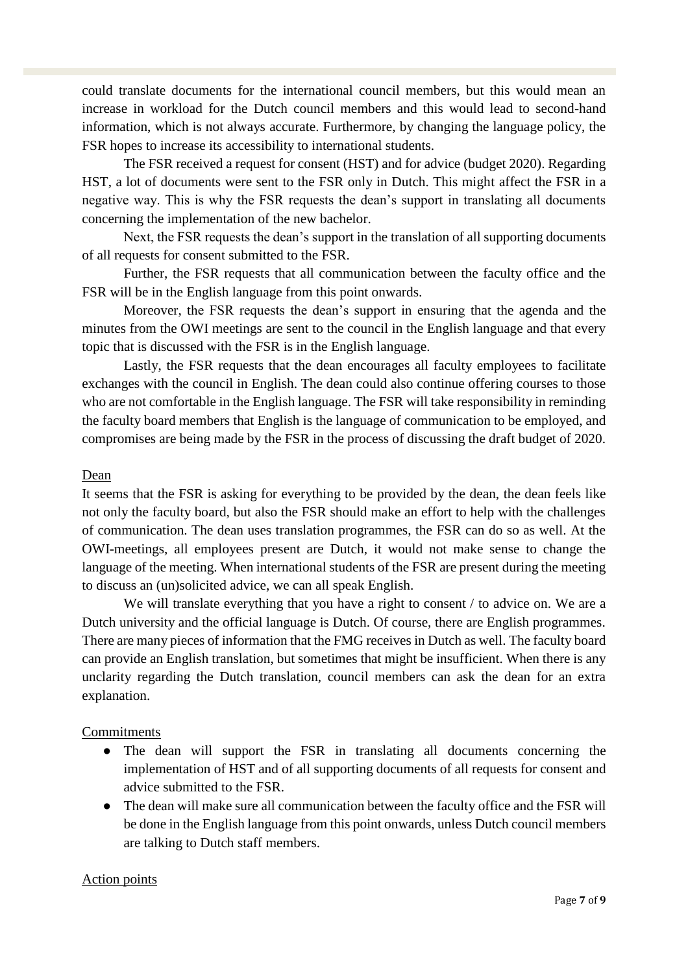could translate documents for the international council members, but this would mean an increase in workload for the Dutch council members and this would lead to second-hand information, which is not always accurate. Furthermore, by changing the language policy, the FSR hopes to increase its accessibility to international students.

The FSR received a request for consent (HST) and for advice (budget 2020). Regarding HST, a lot of documents were sent to the FSR only in Dutch. This might affect the FSR in a negative way. This is why the FSR requests the dean's support in translating all documents concerning the implementation of the new bachelor.

Next, the FSR requests the dean's support in the translation of all supporting documents of all requests for consent submitted to the FSR.

Further, the FSR requests that all communication between the faculty office and the FSR will be in the English language from this point onwards.

Moreover, the FSR requests the dean's support in ensuring that the agenda and the minutes from the OWI meetings are sent to the council in the English language and that every topic that is discussed with the FSR is in the English language.

Lastly, the FSR requests that the dean encourages all faculty employees to facilitate exchanges with the council in English. The dean could also continue offering courses to those who are not comfortable in the English language. The FSR will take responsibility in reminding the faculty board members that English is the language of communication to be employed, and compromises are being made by the FSR in the process of discussing the draft budget of 2020.

#### Dean

It seems that the FSR is asking for everything to be provided by the dean, the dean feels like not only the faculty board, but also the FSR should make an effort to help with the challenges of communication. The dean uses translation programmes, the FSR can do so as well. At the OWI-meetings, all employees present are Dutch, it would not make sense to change the language of the meeting. When international students of the FSR are present during the meeting to discuss an (un)solicited advice, we can all speak English.

We will translate everything that you have a right to consent / to advice on. We are a Dutch university and the official language is Dutch. Of course, there are English programmes. There are many pieces of information that the FMG receives in Dutch as well. The faculty board can provide an English translation, but sometimes that might be insufficient. When there is any unclarity regarding the Dutch translation, council members can ask the dean for an extra explanation.

#### **Commitments**

- The dean will support the FSR in translating all documents concerning the implementation of HST and of all supporting documents of all requests for consent and advice submitted to the FSR.
- The dean will make sure all communication between the faculty office and the FSR will be done in the English language from this point onwards, unless Dutch council members are talking to Dutch staff members.

## Action points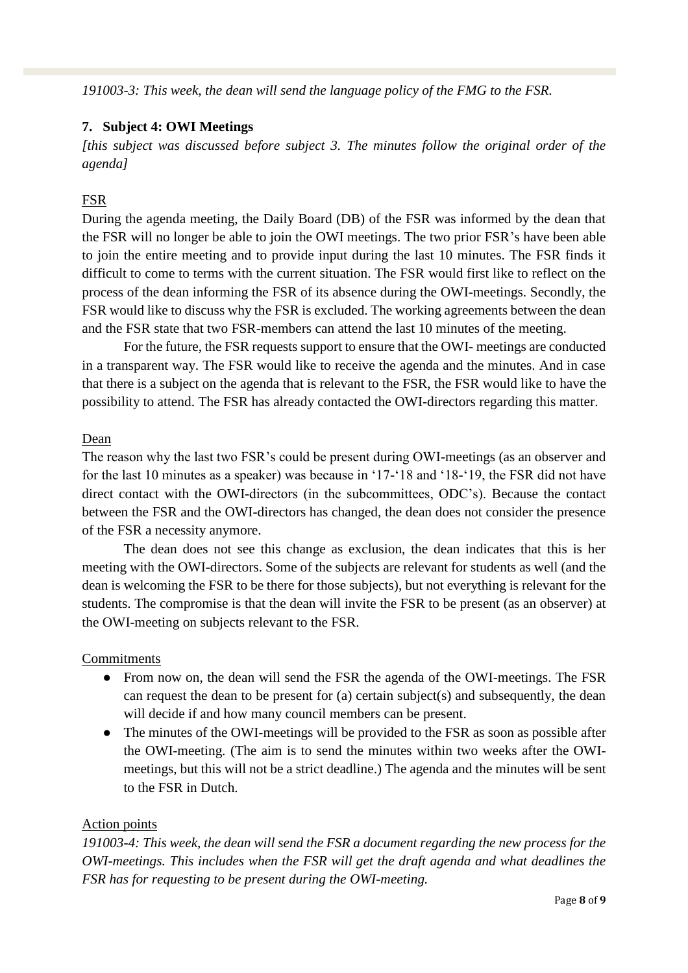*191003-3: This week, the dean will send the language policy of the FMG to the FSR.* 

#### **7. Subject 4: OWI Meetings**

*[this subject was discussed before subject 3. The minutes follow the original order of the agenda]*

## FSR

During the agenda meeting, the Daily Board (DB) of the FSR was informed by the dean that the FSR will no longer be able to join the OWI meetings. The two prior FSR's have been able to join the entire meeting and to provide input during the last 10 minutes. The FSR finds it difficult to come to terms with the current situation. The FSR would first like to reflect on the process of the dean informing the FSR of its absence during the OWI-meetings. Secondly, the FSR would like to discuss why the FSR is excluded. The working agreements between the dean and the FSR state that two FSR-members can attend the last 10 minutes of the meeting.

For the future, the FSR requests support to ensure that the OWI- meetings are conducted in a transparent way. The FSR would like to receive the agenda and the minutes. And in case that there is a subject on the agenda that is relevant to the FSR, the FSR would like to have the possibility to attend. The FSR has already contacted the OWI-directors regarding this matter.

#### Dean

The reason why the last two FSR's could be present during OWI-meetings (as an observer and for the last 10 minutes as a speaker) was because in '17-'18 and '18-'19, the FSR did not have direct contact with the OWI-directors (in the subcommittees, ODC's). Because the contact between the FSR and the OWI-directors has changed, the dean does not consider the presence of the FSR a necessity anymore.

The dean does not see this change as exclusion, the dean indicates that this is her meeting with the OWI-directors. Some of the subjects are relevant for students as well (and the dean is welcoming the FSR to be there for those subjects), but not everything is relevant for the students. The compromise is that the dean will invite the FSR to be present (as an observer) at the OWI-meeting on subjects relevant to the FSR.

#### Commitments

- From now on, the dean will send the FSR the agenda of the OWI-meetings. The FSR can request the dean to be present for (a) certain subject(s) and subsequently, the dean will decide if and how many council members can be present.
- The minutes of the OWI-meetings will be provided to the FSR as soon as possible after the OWI-meeting. (The aim is to send the minutes within two weeks after the OWImeetings, but this will not be a strict deadline.) The agenda and the minutes will be sent to the FSR in Dutch.

#### Action points

*191003-4: This week, the dean will send the FSR a document regarding the new process for the OWI-meetings. This includes when the FSR will get the draft agenda and what deadlines the FSR has for requesting to be present during the OWI-meeting.*